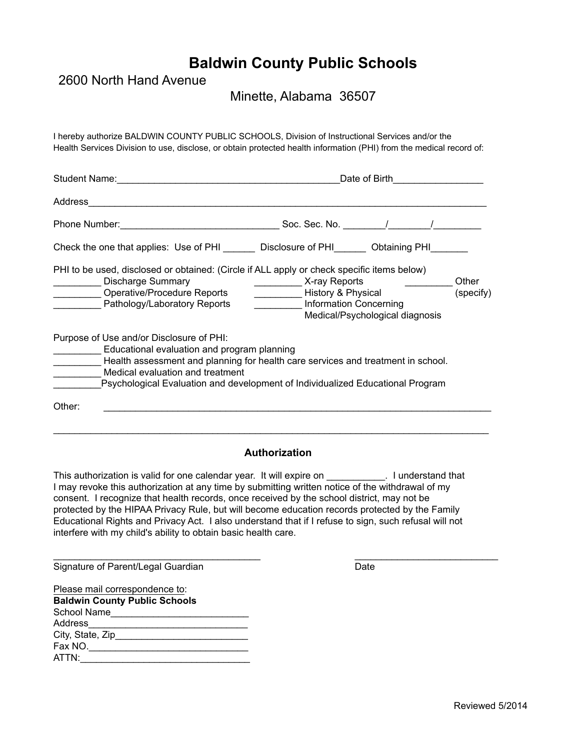## **Baldwin County Public Schools**

2600 North Hand Avenue

Minette, Alabama 36507

Health Services Division to use, disclose, or obtain protected health information (PHI) from the medical record of: I hereby authorize BALDWIN COUNTY PUBLIC SCHOOLS, Division of Instructional Services and/or the

| <b>Student Name:</b>                                                                                                                                                                  | Date of Birth                                                                                                                                                      |
|---------------------------------------------------------------------------------------------------------------------------------------------------------------------------------------|--------------------------------------------------------------------------------------------------------------------------------------------------------------------|
| Address                                                                                                                                                                               |                                                                                                                                                                    |
|                                                                                                                                                                                       | Soc. Sec. No. $\sqrt{2\pi}$                                                                                                                                        |
|                                                                                                                                                                                       | Check the one that applies: Use of PHI _______ Disclosure of PHI_______ Obtaining PHI_____                                                                         |
| PHI to be used, disclosed or obtained: (Circle if ALL apply or check specific items below)<br><b>Discharge Summary</b><br>Operative/Procedure Reports<br>Pathology/Laboratory Reports | X-ray Reports<br>Other<br>History & Physical<br>(specify)<br>Information Concerning<br>Medical/Psychological diagnosis                                             |
| Purpose of Use and/or Disclosure of PHI:<br>Educational evaluation and program planning<br>Medical evaluation and treatment                                                           | Health assessment and planning for health care services and treatment in school.<br>Psychological Evaluation and development of Individualized Educational Program |
| Other:                                                                                                                                                                                |                                                                                                                                                                    |

## **Authorization**

 $\overline{\phantom{a}}$  , and the set of the set of the set of the set of the set of the set of the set of the set of the set of the set of the set of the set of the set of the set of the set of the set of the set of the set of the s

\_\_\_\_\_\_\_\_\_\_\_\_\_\_\_\_\_\_\_\_\_\_\_\_\_\_\_\_\_\_\_\_\_\_\_\_\_\_\_\_\_\_\_\_\_\_\_\_\_\_\_\_\_\_\_\_\_\_\_\_\_\_\_\_\_\_\_\_\_\_\_\_\_\_\_\_\_\_\_\_\_\_

This authorization is valid for one calendar year. It will expire on This authorization is valid for one calendar year. It will expire on I may revoke this authorization at any time by submitting written notice of the withdrawal of my consent. I recognize that health records, once received by the school district, may not be protected by the HIPAA Privacy Rule, but will become education records protected by the Family Educational Rights and Privacy Act. I also understand that if I refuse to sign, such refusal will not interfere with my child's ability to obtain basic health care.

Signature of Parent/Legal Guardian

| ۰.<br>۰.<br>. .<br>۰,<br>w<br>٠<br>٠ |
|--------------------------------------|
|--------------------------------------|

Please mail correspondence to: **Baldwin County Public Schools** School Name\_\_\_\_\_\_\_\_\_\_\_\_\_\_\_\_\_\_\_\_\_\_\_\_\_\_ Address\_\_\_\_\_\_\_\_\_\_\_\_\_\_\_\_\_\_\_\_\_\_\_\_\_\_\_\_\_\_ City, State, Zip\_\_\_\_\_\_\_\_\_\_\_\_\_\_\_\_\_\_\_\_\_\_\_\_\_ Fax NO.\_\_\_\_\_\_\_\_\_\_\_\_\_\_\_\_\_\_\_\_\_\_\_\_\_\_\_\_\_\_ ATTN:\_\_\_\_\_\_\_\_\_\_\_\_\_\_\_\_\_\_\_\_\_\_\_\_\_\_\_\_\_\_\_\_